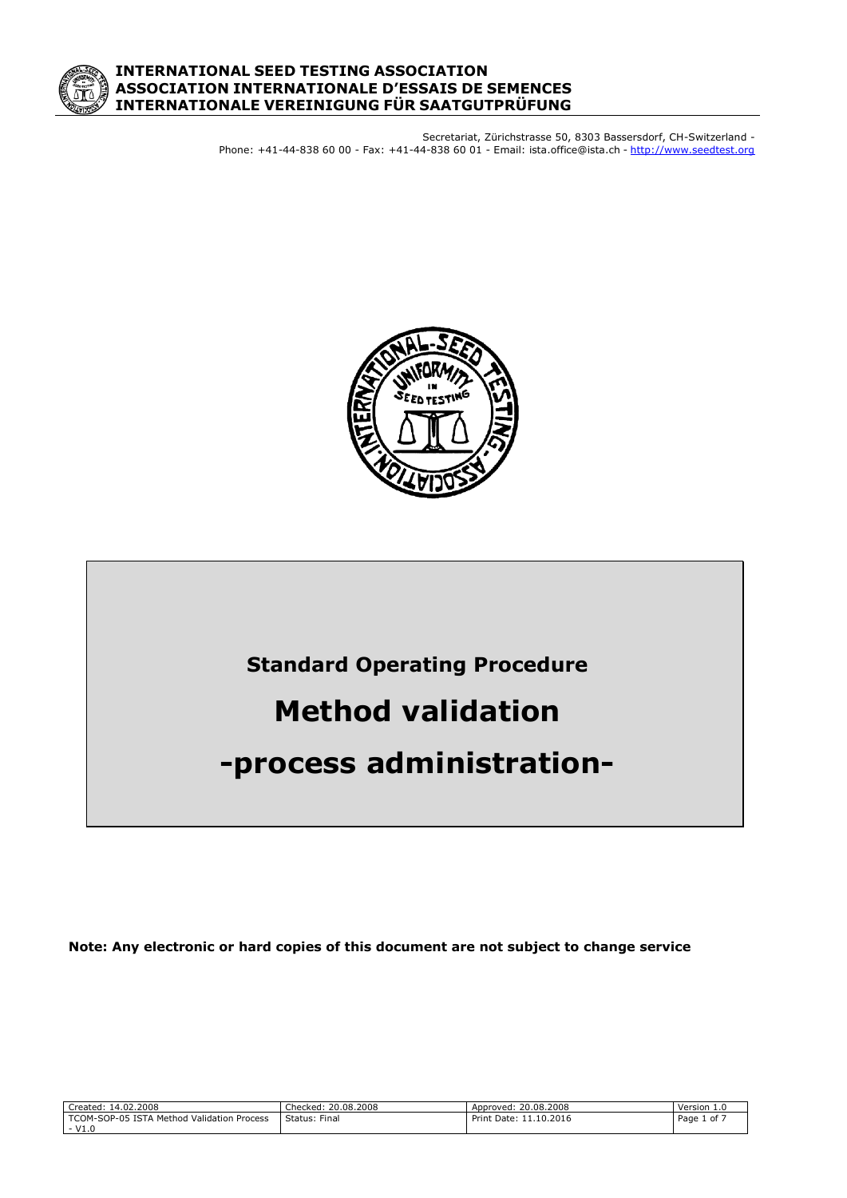

#### **INTERNATIONAL SEED TESTING ASSOCIATION ASSOCIATION INTERNATIONALE D'ESSAIS DE SEMENCES INTERNATIONALE VEREINIGUNG FÜR SAATGUTPRÜFUNG**

Secretariat, Zürichstrasse 50, 8303 Bassersdorf, CH-Switzerland - Phone: +41-44-838 60 00 - Fax: +41-44-838 60 01 - Email: ista.office@ista.ch - http://www.seedtest.org





**Note: Any electronic or hard copies of this document are not subject to change service**

| Created: 14.02.2008                        | Checked: 20.08.2008 | Approved: 20.08.2008   | Version 1.0 |
|--------------------------------------------|---------------------|------------------------|-------------|
| TCOM-SOP-05 ISTA Method Validation Process | Status: Final       | Print Date: 11.10.2016 | Page 1 of   |
| $- V1.0$                                   |                     |                        |             |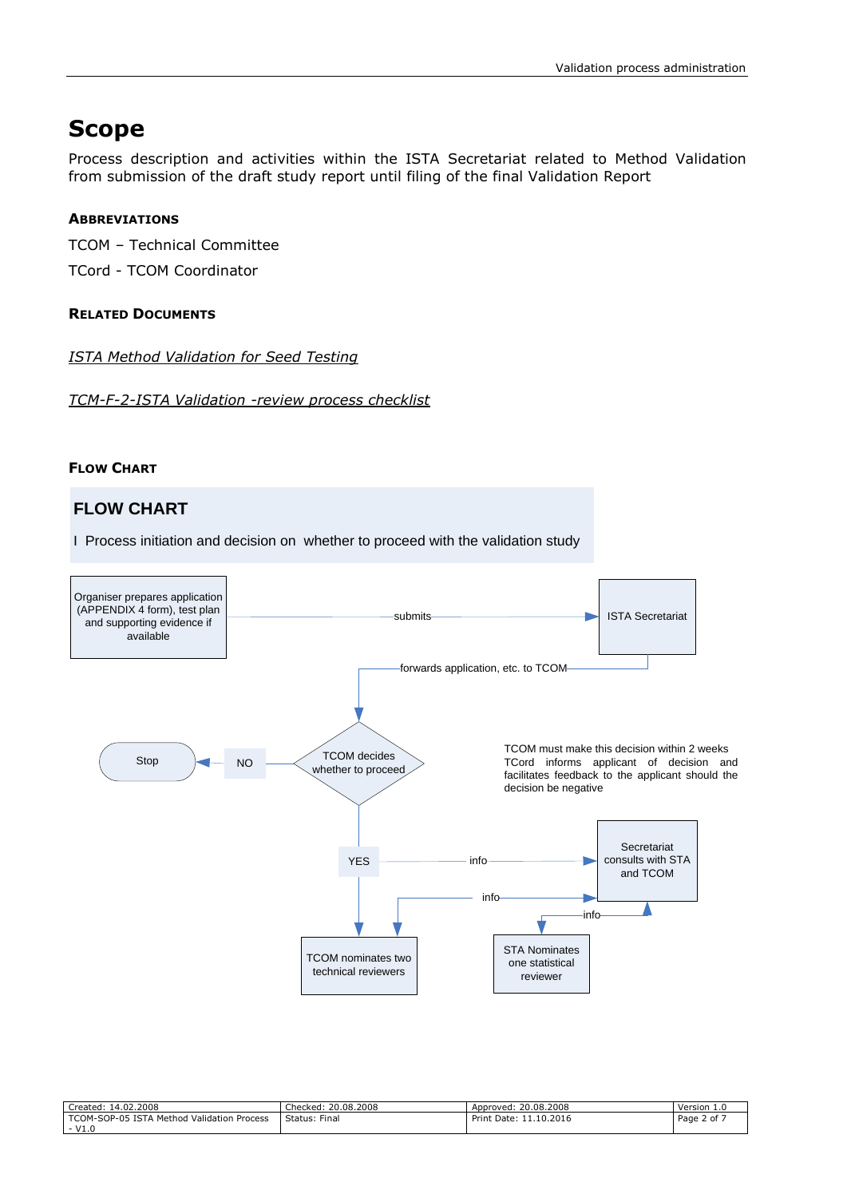# **Scope**

Process description and activities within the ISTA Secretariat related to Method Validation from submission of the draft study report until filing of the final Validation Report

#### **ABBREVIATIONS**

- TCOM Technical Committee
- TCord TCOM Coordinator

### **RELATED DOCUMENTS**

#### *ISTA Method Validation for Seed Testing*

*TCM-F-2-ISTA Validation -review process checklist*

### **FLOW CHART**

## **FLOW CHART**

I Process initiation and decision on whether to proceed with the validation study



| Created: 14.02.2008                           | Checked: 20.08.2008 | Approved: 20.08.2008      | Version 1.0   |
|-----------------------------------------------|---------------------|---------------------------|---------------|
| Method Validation Process<br>TCOM-SOP-05 ISTA | Status: Final       | 11.10.2016<br>Print Date: | Page 2 of $7$ |
| $-V1$ $\sim$<br>7 T . C                       |                     |                           |               |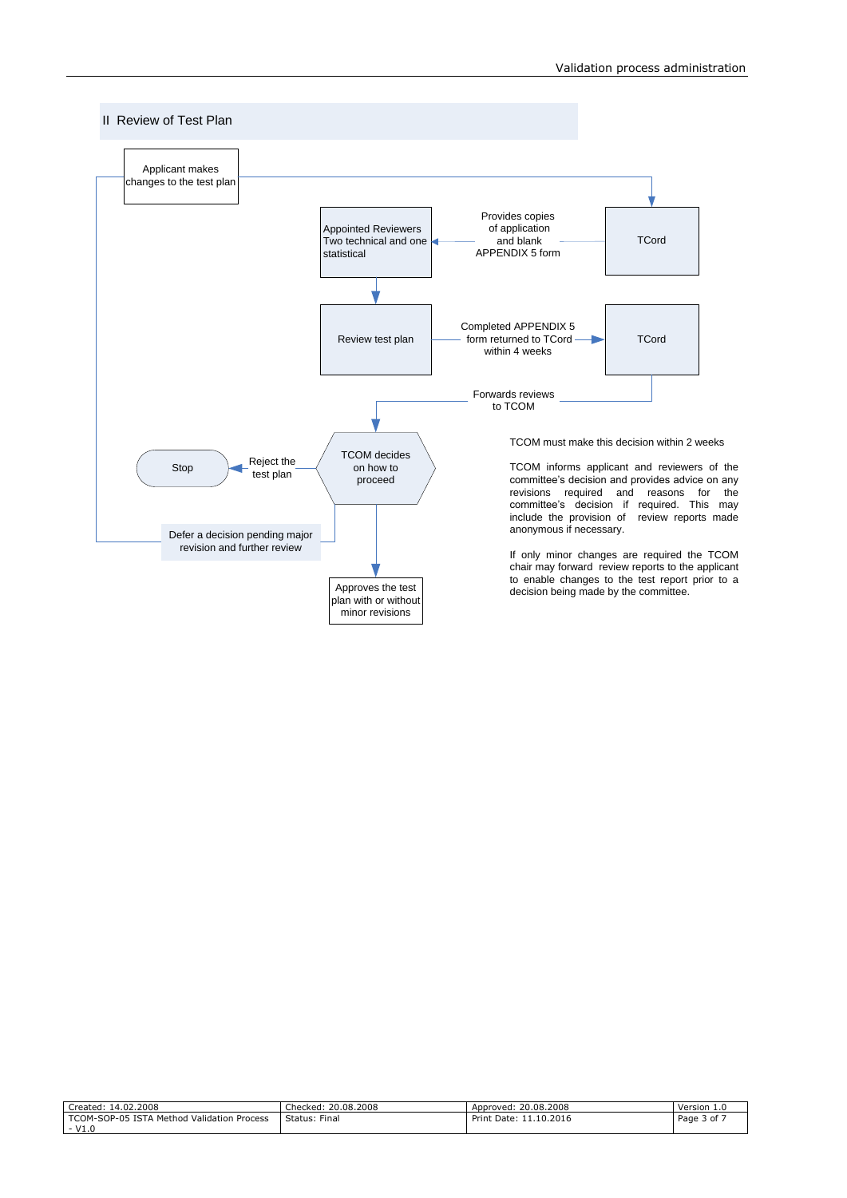

| Created: 14.02.2008                        | Checked: 20.08.2008 | Approved: 20.08.2008   | Version 1.0 |
|--------------------------------------------|---------------------|------------------------|-------------|
| TCOM-SOP-05 ISTA Method Validation Process | Status: Final       | Print Date: 11.10.2016 | Page 3 of 7 |
| - V1.u                                     |                     |                        |             |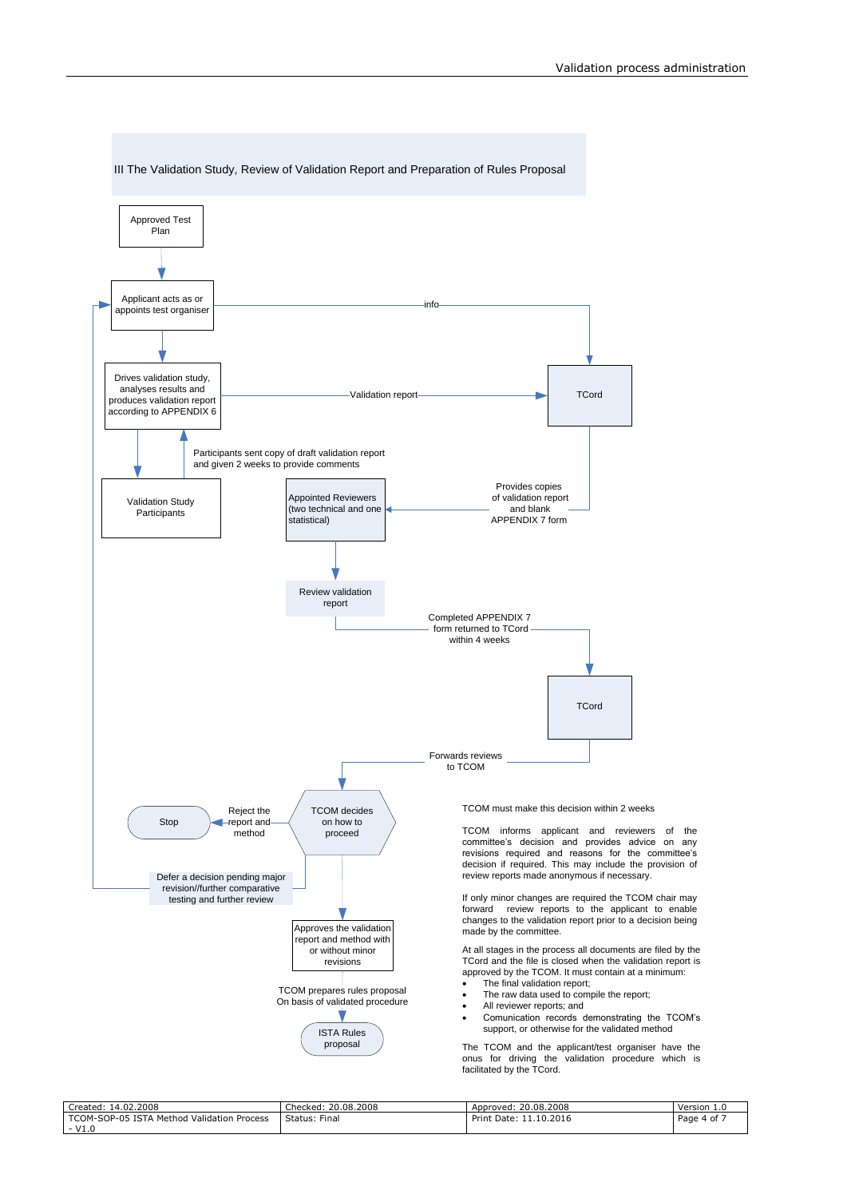

| Created: 14.02.2008                        | Checked: 20.08.2008 | Approved: 20.08.2008   | Version 1.0 |
|--------------------------------------------|---------------------|------------------------|-------------|
| TCOM-SOP-05 ISTA Method Validation Process | Status: Final       | Print Date: 11.10.2016 | Page 4 of   |
| - V1.0                                     |                     |                        |             |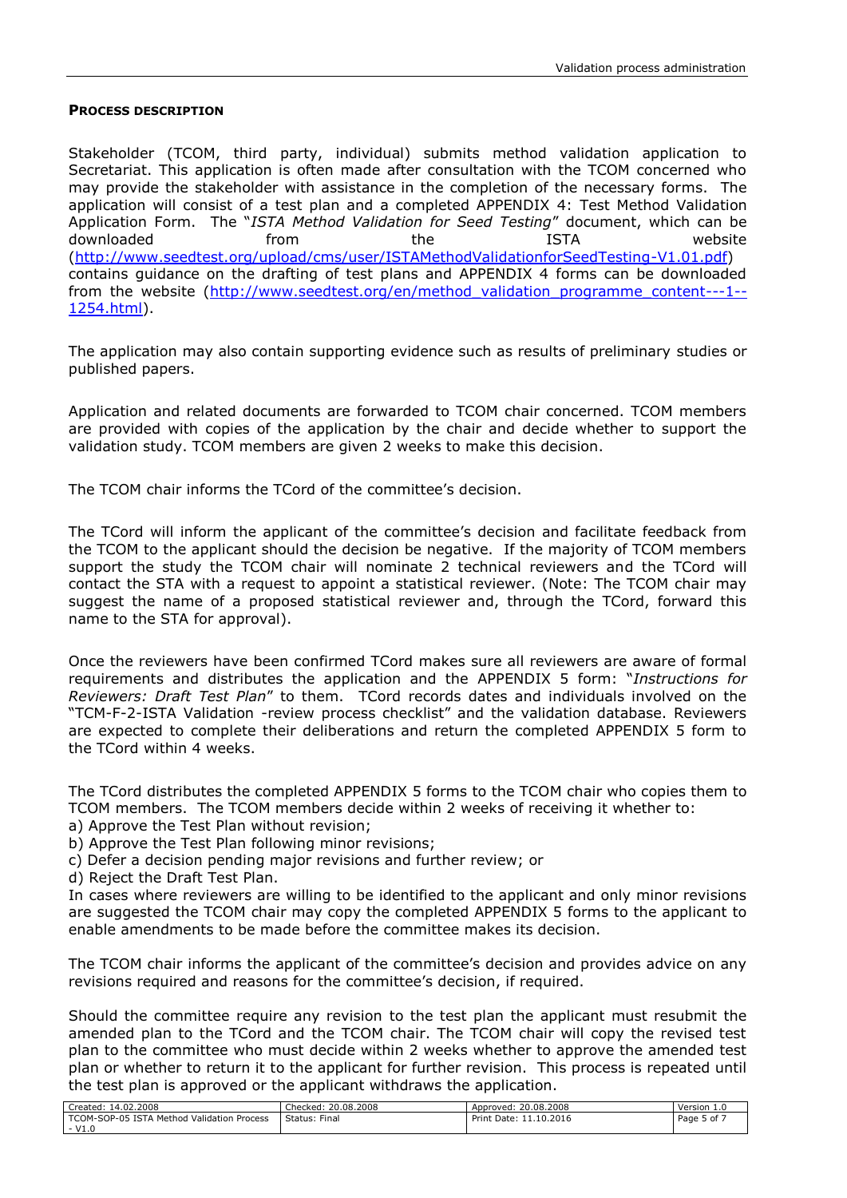#### **PROCESS DESCRIPTION**

Stakeholder (TCOM, third party, individual) submits method validation application to Secretariat. This application is often made after consultation with the TCOM concerned who may provide the stakeholder with assistance in the completion of the necessary forms. The application will consist of a test plan and a completed APPENDIX 4: Test Method Validation Application Form. The "*ISTA Method Validation for Seed Testing*" document, which can be downloaded **from** the ISTA website [\(http://www.seedtest.org/upload/cms/user/ISTAMethodValidationforSeedTesting-V1.01.pdf\)](http://www.seedtest.org/upload/cms/user/ISTAMethodValidationforSeedTesting-V1.01.pdf) contains guidance on the drafting of test plans and APPENDIX 4 forms can be downloaded from the website [\(http://www.seedtest.org/en/method\\_validation\\_programme\\_content---1--](http://www.seedtest.org/en/method_validation_programme_content---1--1254.html) [1254.html\)](http://www.seedtest.org/en/method_validation_programme_content---1--1254.html).

The application may also contain supporting evidence such as results of preliminary studies or published papers.

Application and related documents are forwarded to TCOM chair concerned. TCOM members are provided with copies of the application by the chair and decide whether to support the validation study. TCOM members are given 2 weeks to make this decision.

The TCOM chair informs the TCord of the committee's decision.

The TCord will inform the applicant of the committee's decision and facilitate feedback from the TCOM to the applicant should the decision be negative. If the majority of TCOM members support the study the TCOM chair will nominate 2 technical reviewers and the TCord will contact the STA with a request to appoint a statistical reviewer. (Note: The TCOM chair may suggest the name of a proposed statistical reviewer and, through the TCord, forward this name to the STA for approval).

Once the reviewers have been confirmed TCord makes sure all reviewers are aware of formal requirements and distributes the application and the APPENDIX 5 form: "*Instructions for Reviewers: Draft Test Plan*" to them. TCord records dates and individuals involved on the "TCM-F-2-ISTA Validation -review process checklist" and the validation database. Reviewers are expected to complete their deliberations and return the completed APPENDIX 5 form to the TCord within 4 weeks.

The TCord distributes the completed APPENDIX 5 forms to the TCOM chair who copies them to TCOM members. The TCOM members decide within 2 weeks of receiving it whether to:

- a) Approve the Test Plan without revision;
- b) Approve the Test Plan following minor revisions;
- c) Defer a decision pending major revisions and further review; or
- d) Reject the Draft Test Plan.

In cases where reviewers are willing to be identified to the applicant and only minor revisions are suggested the TCOM chair may copy the completed APPENDIX 5 forms to the applicant to enable amendments to be made before the committee makes its decision.

The TCOM chair informs the applicant of the committee's decision and provides advice on any revisions required and reasons for the committee's decision, if required.

Should the committee require any revision to the test plan the applicant must resubmit the amended plan to the TCord and the TCOM chair. The TCOM chair will copy the revised test plan to the committee who must decide within 2 weeks whether to approve the amended test plan or whether to return it to the applicant for further revision. This process is repeated until the test plan is approved or the applicant withdraws the application.

| Created: 14.02.2008                        | Checked: 20.08.2008 | Approved: 20.08.2008      | Version 1.0  |
|--------------------------------------------|---------------------|---------------------------|--------------|
| TCOM-SOP-05 ISTA Method Validation Process | Status: Final       | 11.10.2016<br>Print Date: | Page<br>. of |
| ี - V1.เ                                   |                     |                           |              |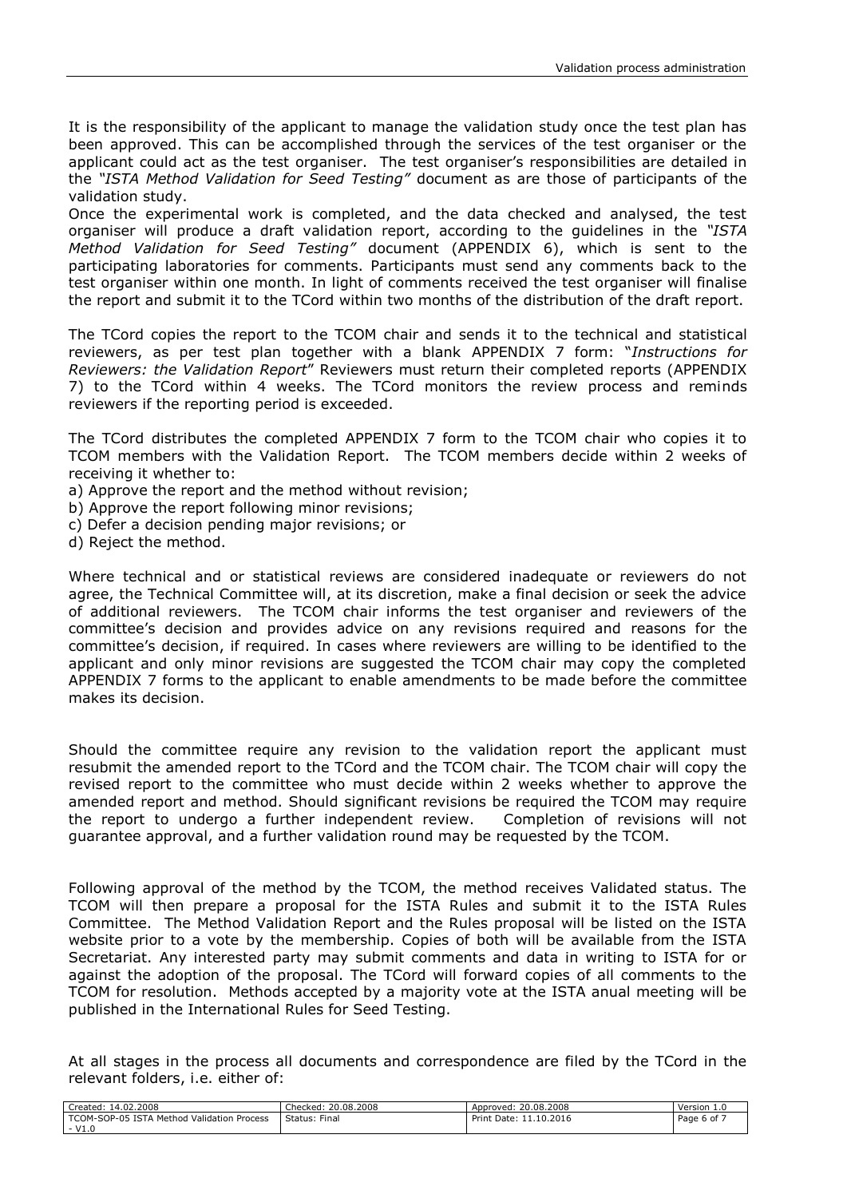It is the responsibility of the applicant to manage the validation study once the test plan has been approved. This can be accomplished through the services of the test organiser or the applicant could act as the test organiser. The test organiser's responsibilities are detailed in the *"ISTA Method Validation for Seed Testing"* document as are those of participants of the validation study.

Once the experimental work is completed, and the data checked and analysed, the test organiser will produce a draft validation report, according to the guidelines in the *"ISTA Method Validation for Seed Testing"* document (APPENDIX 6), which is sent to the participating laboratories for comments. Participants must send any comments back to the test organiser within one month. In light of comments received the test organiser will finalise the report and submit it to the TCord within two months of the distribution of the draft report.

The TCord copies the report to the TCOM chair and sends it to the technical and statistical reviewers, as per test plan together with a blank APPENDIX 7 form: "*Instructions for Reviewers: the Validation Report*" Reviewers must return their completed reports (APPENDIX 7) to the TCord within 4 weeks. The TCord monitors the review process and reminds reviewers if the reporting period is exceeded.

The TCord distributes the completed APPENDIX 7 form to the TCOM chair who copies it to TCOM members with the Validation Report. The TCOM members decide within 2 weeks of receiving it whether to:

- a) Approve the report and the method without revision;
- b) Approve the report following minor revisions;
- c) Defer a decision pending major revisions; or
- d) Reject the method.

Where technical and or statistical reviews are considered inadequate or reviewers do not agree, the Technical Committee will, at its discretion, make a final decision or seek the advice of additional reviewers. The TCOM chair informs the test organiser and reviewers of the committee's decision and provides advice on any revisions required and reasons for the committee's decision, if required. In cases where reviewers are willing to be identified to the applicant and only minor revisions are suggested the TCOM chair may copy the completed APPENDIX 7 forms to the applicant to enable amendments to be made before the committee makes its decision.

Should the committee require any revision to the validation report the applicant must resubmit the amended report to the TCord and the TCOM chair. The TCOM chair will copy the revised report to the committee who must decide within 2 weeks whether to approve the amended report and method. Should significant revisions be required the TCOM may require the report to undergo a further independent review. Completion of revisions will not guarantee approval, and a further validation round may be requested by the TCOM.

Following approval of the method by the TCOM, the method receives Validated status. The TCOM will then prepare a proposal for the ISTA Rules and submit it to the ISTA Rules Committee. The Method Validation Report and the Rules proposal will be listed on the ISTA website prior to a vote by the membership. Copies of both will be available from the ISTA Secretariat. Any interested party may submit comments and data in writing to ISTA for or against the adoption of the proposal. The TCord will forward copies of all comments to the TCOM for resolution. Methods accepted by a majority vote at the ISTA anual meeting will be published in the International Rules for Seed Testing.

At all stages in the process all documents and correspondence are filed by the TCord in the relevant folders, i.e. either of:

| Created: 14.02.2008                              | Checked: 20.08.2008 | 20.08.2008<br>Approved:      | Version 1.0       |
|--------------------------------------------------|---------------------|------------------------------|-------------------|
| TCOM-SOP-05 ISTA<br>Method Validation<br>Process | Status: Final       | 11.10.2016<br>Date:<br>Print | Page<br>, of<br>v |
| $. V^+$<br>7 T J D                               |                     |                              |                   |